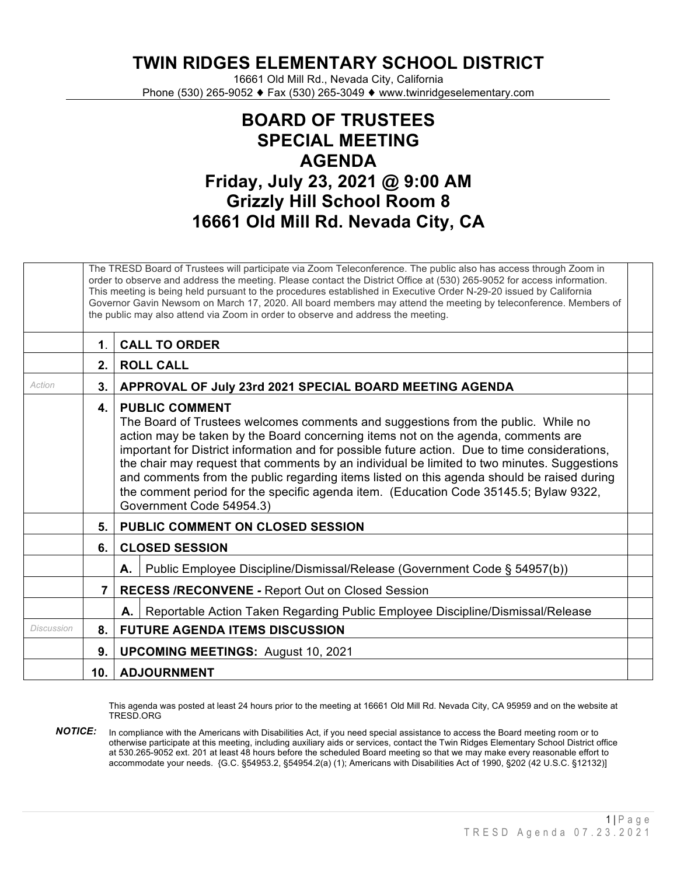**TWIN RIDGES ELEMENTARY SCHOOL DISTRICT**

16661 Old Mill Rd., Nevada City, California Phone (530) 265-9052 ♦ Fax (530) 265-3049 ♦ www.twinridgeselementary.com

## **BOARD OF TRUSTEES SPECIAL MEETING AGENDA Friday, July 23, 2021 @ 9:00 AM Grizzly Hill School Room 8 16661 Old Mill Rd. Nevada City, CA**

|            |             | The TRESD Board of Trustees will participate via Zoom Teleconference. The public also has access through Zoom in<br>order to observe and address the meeting. Please contact the District Office at (530) 265-9052 for access information.<br>This meeting is being held pursuant to the procedures established in Executive Order N-29-20 issued by California<br>Governor Gavin Newsom on March 17, 2020. All board members may attend the meeting by teleconference. Members of<br>the public may also attend via Zoom in order to observe and address the meeting.                                              |
|------------|-------------|---------------------------------------------------------------------------------------------------------------------------------------------------------------------------------------------------------------------------------------------------------------------------------------------------------------------------------------------------------------------------------------------------------------------------------------------------------------------------------------------------------------------------------------------------------------------------------------------------------------------|
|            | $\mathbf 1$ | <b>CALL TO ORDER</b>                                                                                                                                                                                                                                                                                                                                                                                                                                                                                                                                                                                                |
|            | 2.          | <b>ROLL CALL</b>                                                                                                                                                                                                                                                                                                                                                                                                                                                                                                                                                                                                    |
| Action     | 3.          | APPROVAL OF July 23rd 2021 SPECIAL BOARD MEETING AGENDA                                                                                                                                                                                                                                                                                                                                                                                                                                                                                                                                                             |
|            | 4.          | <b>PUBLIC COMMENT</b><br>The Board of Trustees welcomes comments and suggestions from the public. While no<br>action may be taken by the Board concerning items not on the agenda, comments are<br>important for District information and for possible future action. Due to time considerations,<br>the chair may request that comments by an individual be limited to two minutes. Suggestions<br>and comments from the public regarding items listed on this agenda should be raised during<br>the comment period for the specific agenda item. (Education Code 35145.5; Bylaw 9322,<br>Government Code 54954.3) |
|            | 5.          | <b>PUBLIC COMMENT ON CLOSED SESSION</b>                                                                                                                                                                                                                                                                                                                                                                                                                                                                                                                                                                             |
|            | 6.          | <b>CLOSED SESSION</b>                                                                                                                                                                                                                                                                                                                                                                                                                                                                                                                                                                                               |
|            |             | Public Employee Discipline/Dismissal/Release (Government Code § 54957(b))<br>А.                                                                                                                                                                                                                                                                                                                                                                                                                                                                                                                                     |
|            | $7^{\circ}$ | <b>RECESS /RECONVENE - Report Out on Closed Session</b>                                                                                                                                                                                                                                                                                                                                                                                                                                                                                                                                                             |
|            |             | Reportable Action Taken Regarding Public Employee Discipline/Dismissal/Release<br>А.                                                                                                                                                                                                                                                                                                                                                                                                                                                                                                                                |
| Discussion | 8.          | <b>FUTURE AGENDA ITEMS DISCUSSION</b>                                                                                                                                                                                                                                                                                                                                                                                                                                                                                                                                                                               |
|            | 9.          | <b>UPCOMING MEETINGS: August 10, 2021</b>                                                                                                                                                                                                                                                                                                                                                                                                                                                                                                                                                                           |
|            | 10.1        | <b>ADJOURNMENT</b>                                                                                                                                                                                                                                                                                                                                                                                                                                                                                                                                                                                                  |

This agenda was posted at least 24 hours prior to the meeting at 16661 Old Mill Rd. Nevada City, CA 95959 and on the website at TRESD.ORG

*NOTICE:* In compliance with the Americans with Disabilities Act, if you need special assistance to access the Board meeting room or to otherwise participate at this meeting, including auxiliary aids or services, contact the Twin Ridges Elementary School District office at 530.265-9052 ext. 201 at least 48 hours before the scheduled Board meeting so that we may make every reasonable effort to accommodate your needs. {G.C. §54953.2, §54954.2(a) (1); Americans with Disabilities Act of 1990, §202 (42 U.S.C. §12132)]